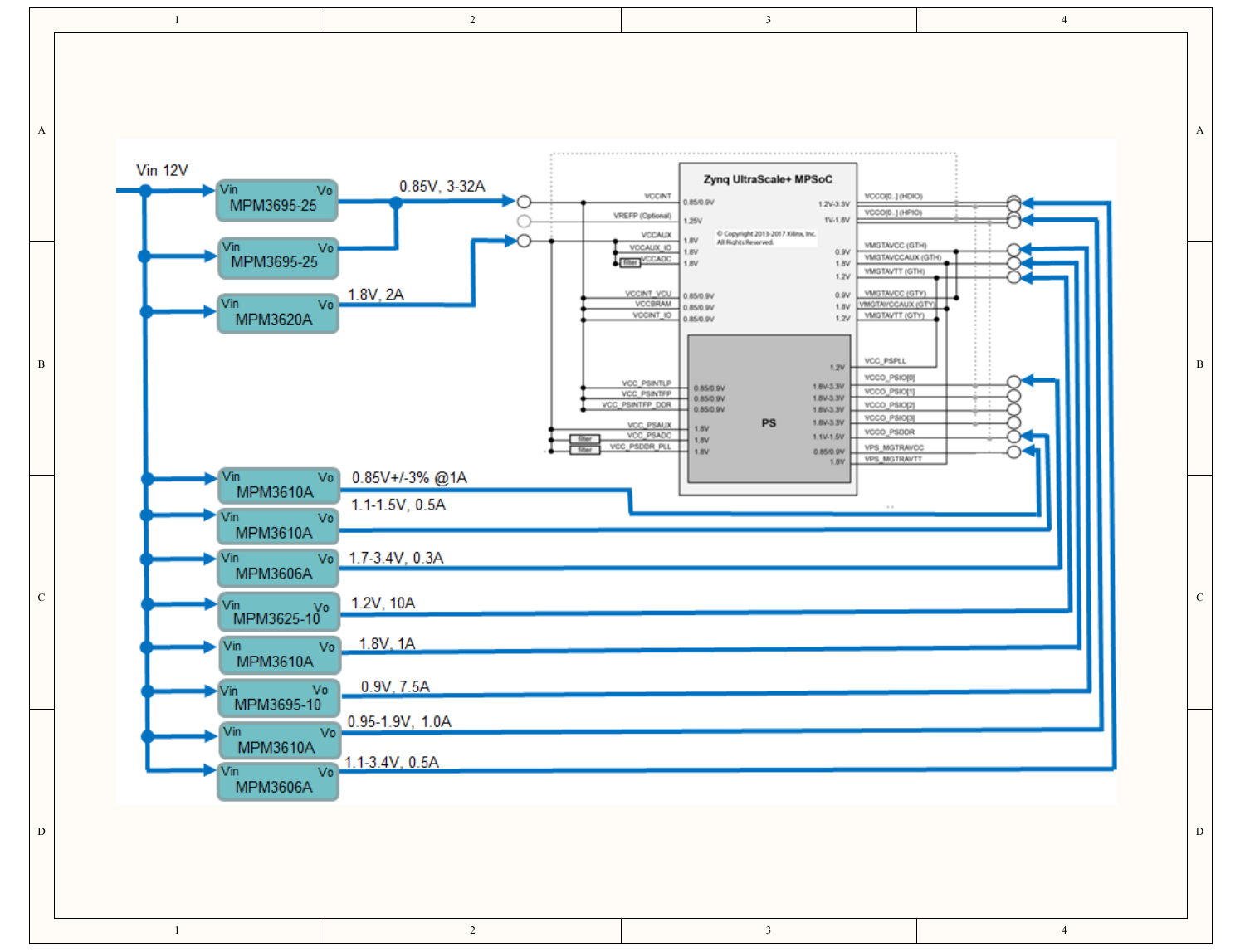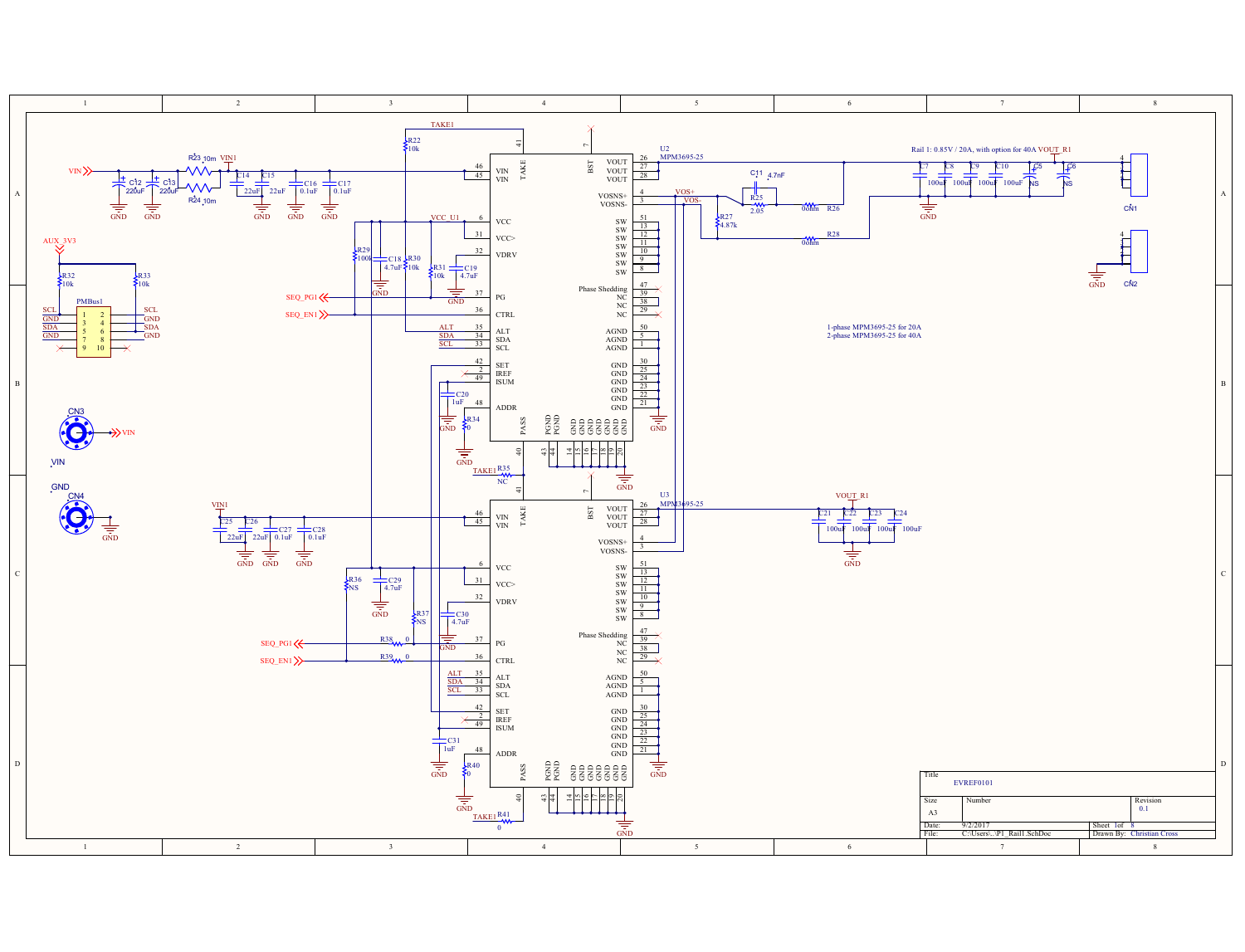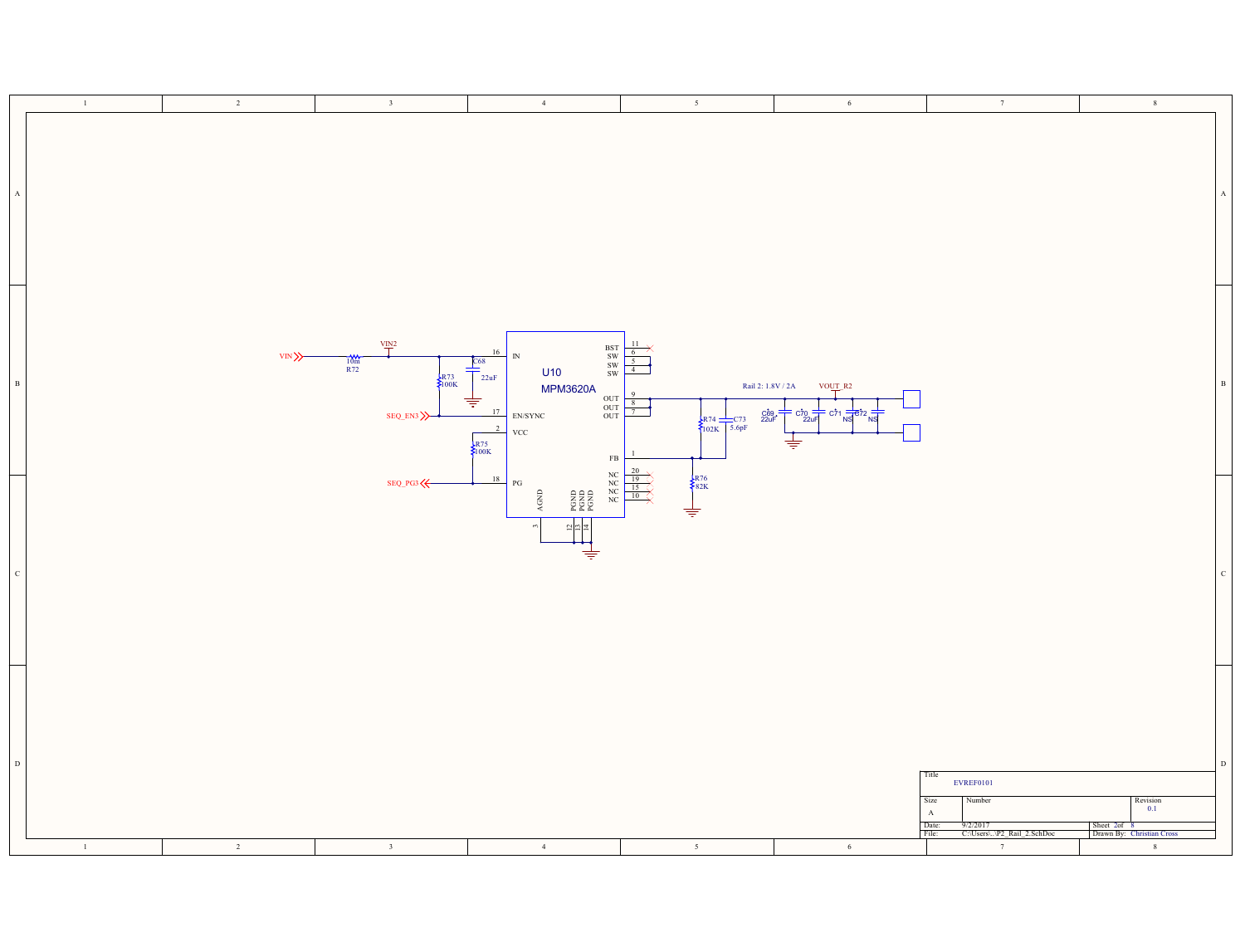|              | $\!-1$<br>$\overline{2}$ | $\overline{\mathbf{3}}$                                                 | $\overline{4}$                                                                                                                                                                                                                                                                                                                                                                     | $5 -$                                                                                                                                                             | $6\phantom{.0}$                                                                                      | 7                                                                                                                                         | $\,$ 8 $\,$                                                                                                        |             |
|--------------|--------------------------|-------------------------------------------------------------------------|------------------------------------------------------------------------------------------------------------------------------------------------------------------------------------------------------------------------------------------------------------------------------------------------------------------------------------------------------------------------------------|-------------------------------------------------------------------------------------------------------------------------------------------------------------------|------------------------------------------------------------------------------------------------------|-------------------------------------------------------------------------------------------------------------------------------------------|--------------------------------------------------------------------------------------------------------------------|-------------|
| $\mathbf A$  |                          |                                                                         |                                                                                                                                                                                                                                                                                                                                                                                    |                                                                                                                                                                   |                                                                                                      |                                                                                                                                           |                                                                                                                    |             |
| $_{\rm B}$   | VIN >>                   | $\frac{VIN^2}{I}$<br>$\frac{10m}{R72}$<br>$\frac{1}{2}R73$<br>$SEQ_EN3$ | $\begin{array}{c} {\rm BST} \\ {\rm SW} \\ {\rm SW} \\ {\rm SW} \\ {\rm SW} \end{array}$<br>16<br>${\rm IN}$<br>268<br>U10<br>22uF<br><b>MPM3620A</b><br>$\begin{array}{c} \mathtt{OUT} \\ \mathtt{OUT} \\ \mathtt{OUT} \end{array}$<br>专<br>17<br>$\ensuremath{\mathrm{EN}}\xspace/\ensuremath{\mathrm{SYNC}}\xspace$<br>$\overline{2}$<br>VCC<br>$\frac{1}{2}R75$<br>$_{\rm FB}$ | $\frac{6}{5}$<br>4<br>$\frac{8}{7}$<br>$\begin{array}{ c c c c }\n\hline\n874 & C73 & C& 220F \\ \hline\n102K & 5.6pF & & & \n\end{array}$                        | Rail 2: 1.8V / 2A<br>VO <u>UT</u> R2<br>$rac{1}{22}$<br>$= c71 \frac{1}{NS}$<br>$\overline{\dagger}$ |                                                                                                                                           |                                                                                                                    |             |
| $\mathbf{C}$ |                          | SEQ_PG3                                                                 | 18<br>PG<br>$\Lambda \text{GND}$<br>PGND<br>PGND<br>PGND<br>$\frac{12}{13}$<br>⇟                                                                                                                                                                                                                                                                                                   | NC<br>NC<br>NC<br>NC<br>$\begin{array}{c}\n\frac{20}{19} \\ \hline\n\text{NC} \\ \hline\n\text{15}\n\end{array}$<br>$\begin{matrix} R76 \\ 82K \end{matrix}$<br>≑ |                                                                                                      |                                                                                                                                           |                                                                                                                    | C           |
| $\vert$ D    | $\!1$<br>$\overline{2}$  | $\overline{\mathbf{3}}$                                                 | 4                                                                                                                                                                                                                                                                                                                                                                                  | $5 -$                                                                                                                                                             | $6\phantom{.0}$                                                                                      | Title<br><b>EVREF0101</b><br>Size<br>Number<br>$\mathbf A$<br>Date:<br>File:<br>$\frac{1}{\sqrt{9/2}}$<br>C:\Users\\P2_Rail_2.SchDoc<br>7 | $\begin{array}{c}\n\text{Revision} \\ 0.1\n\end{array}$<br>Sheet 2of 8<br>Drawn By: Christian Cross<br>$\,$ 8 $\,$ | $\mathbf D$ |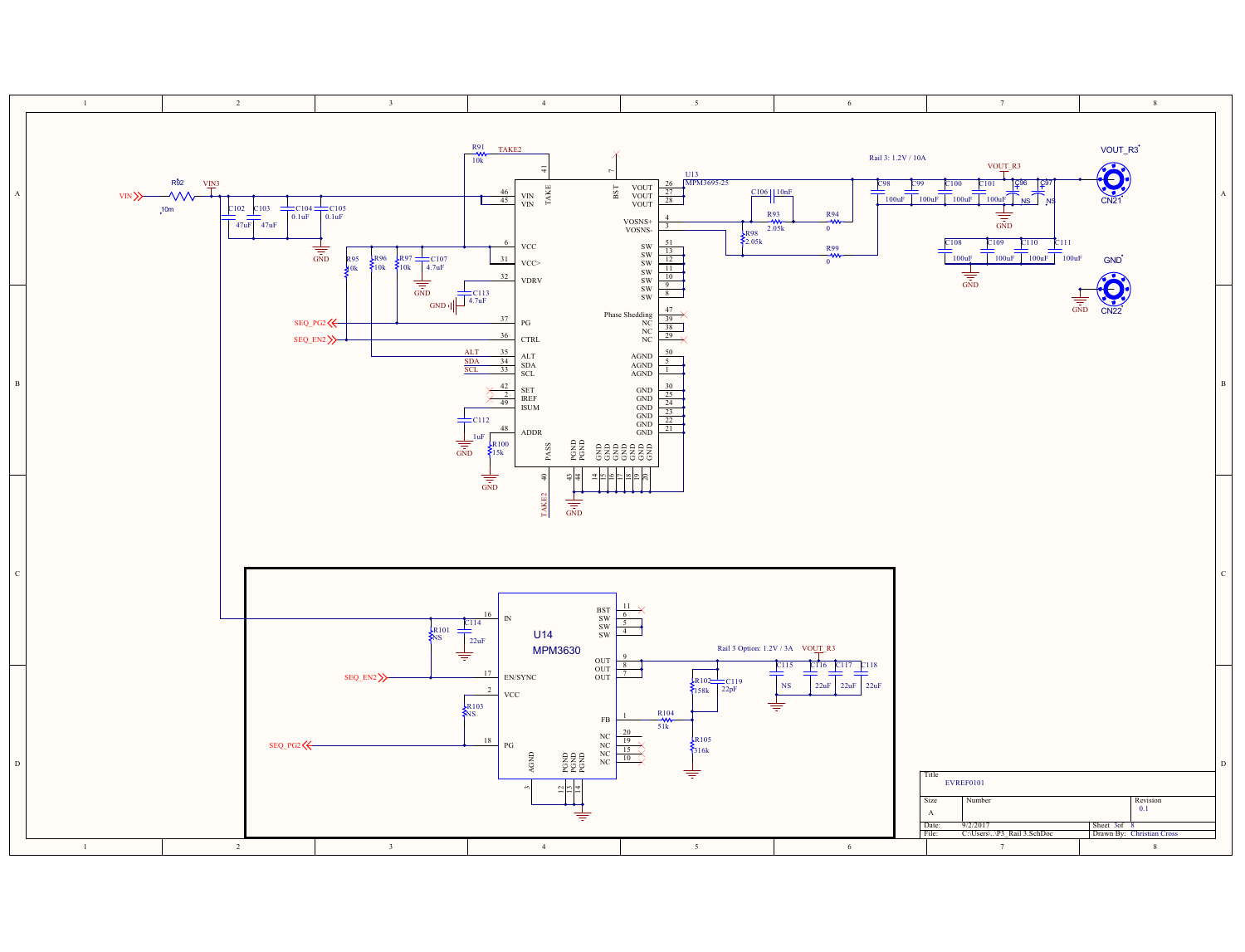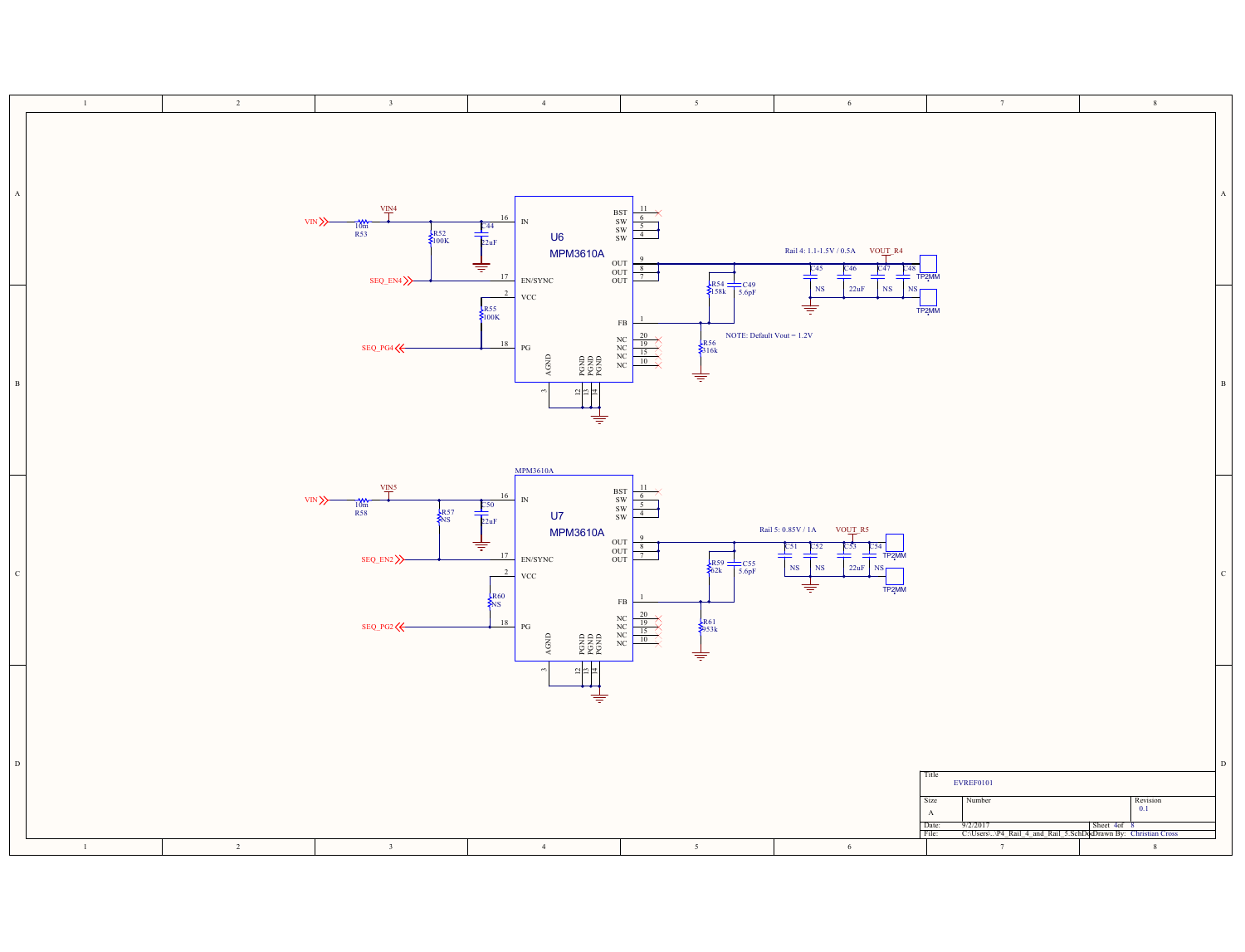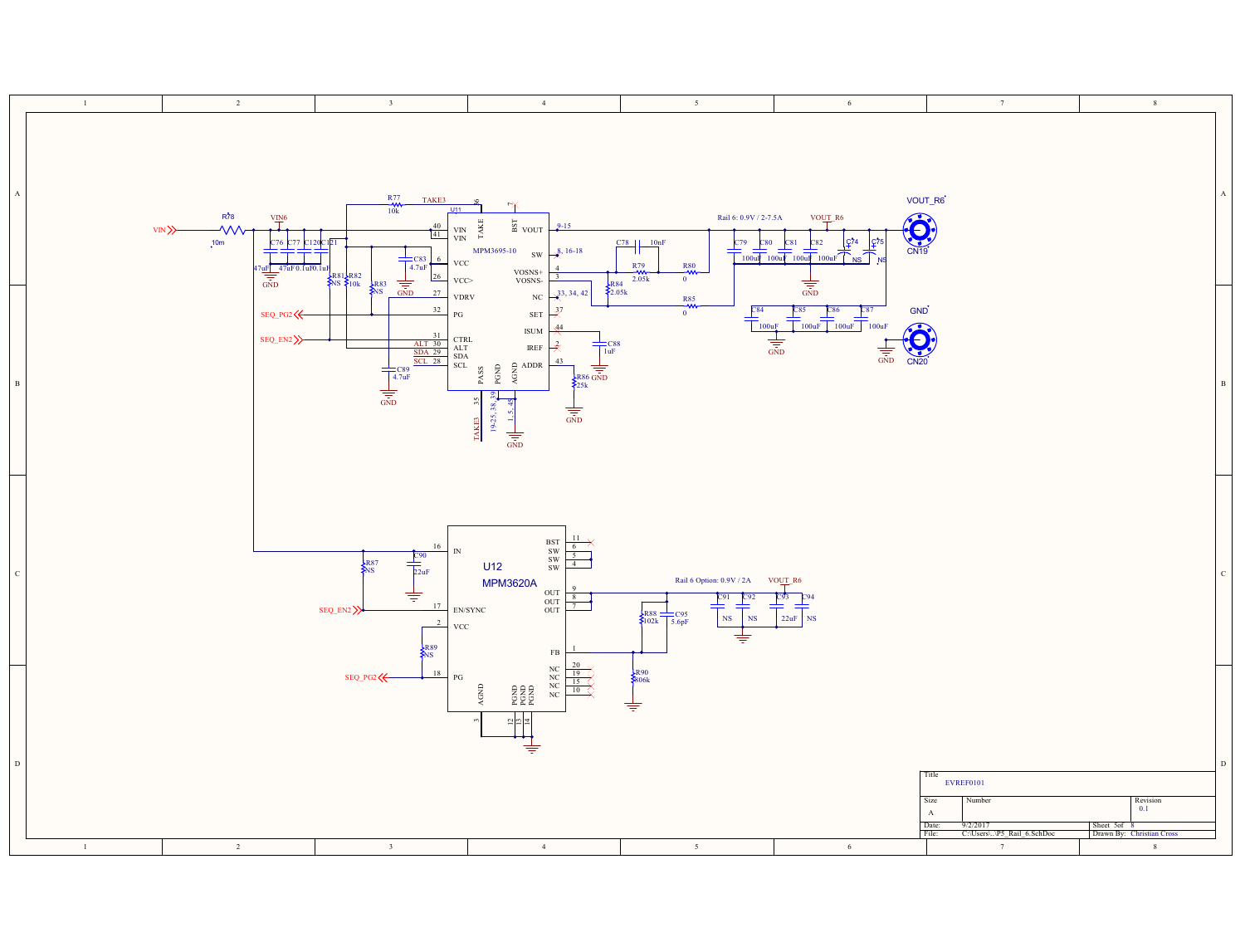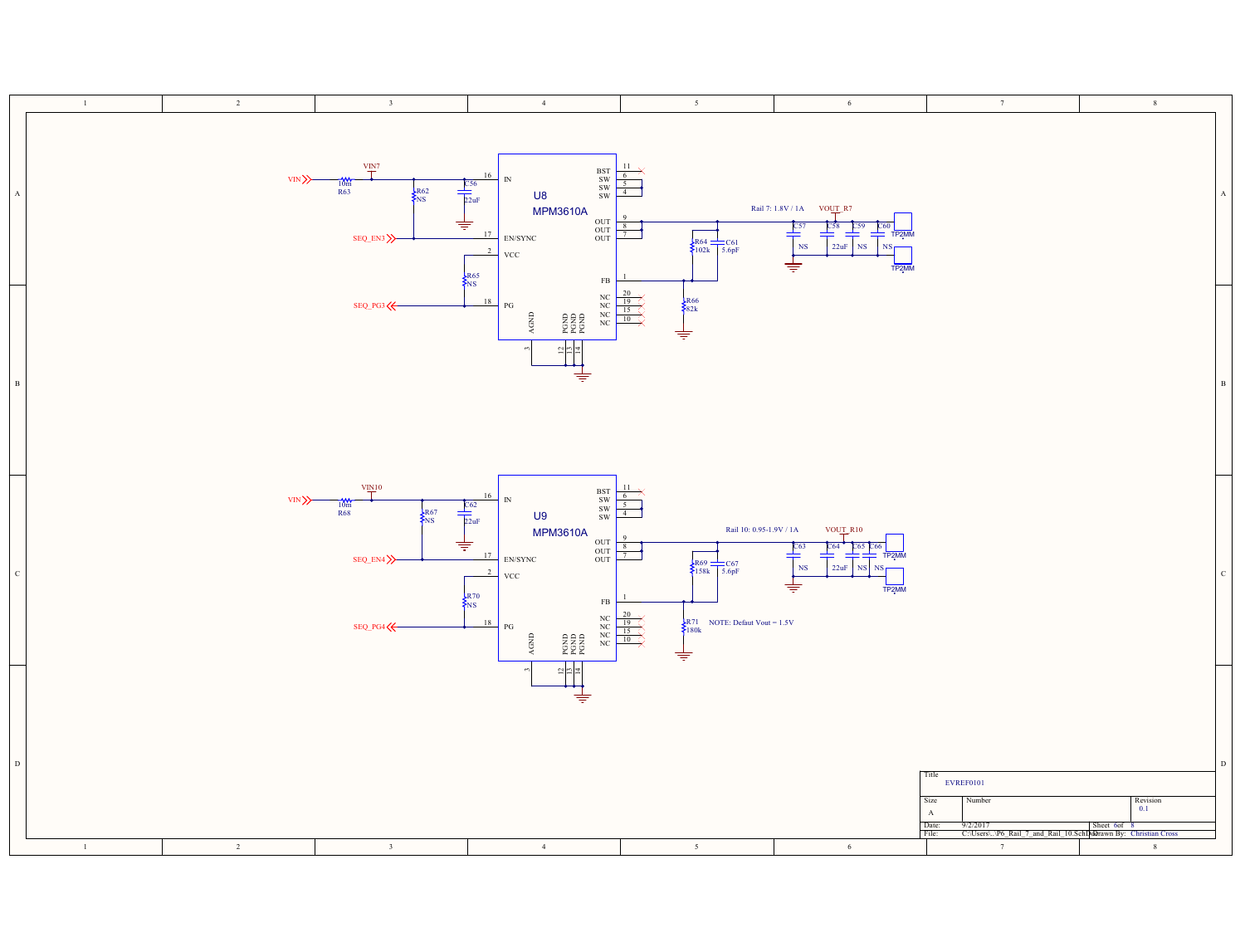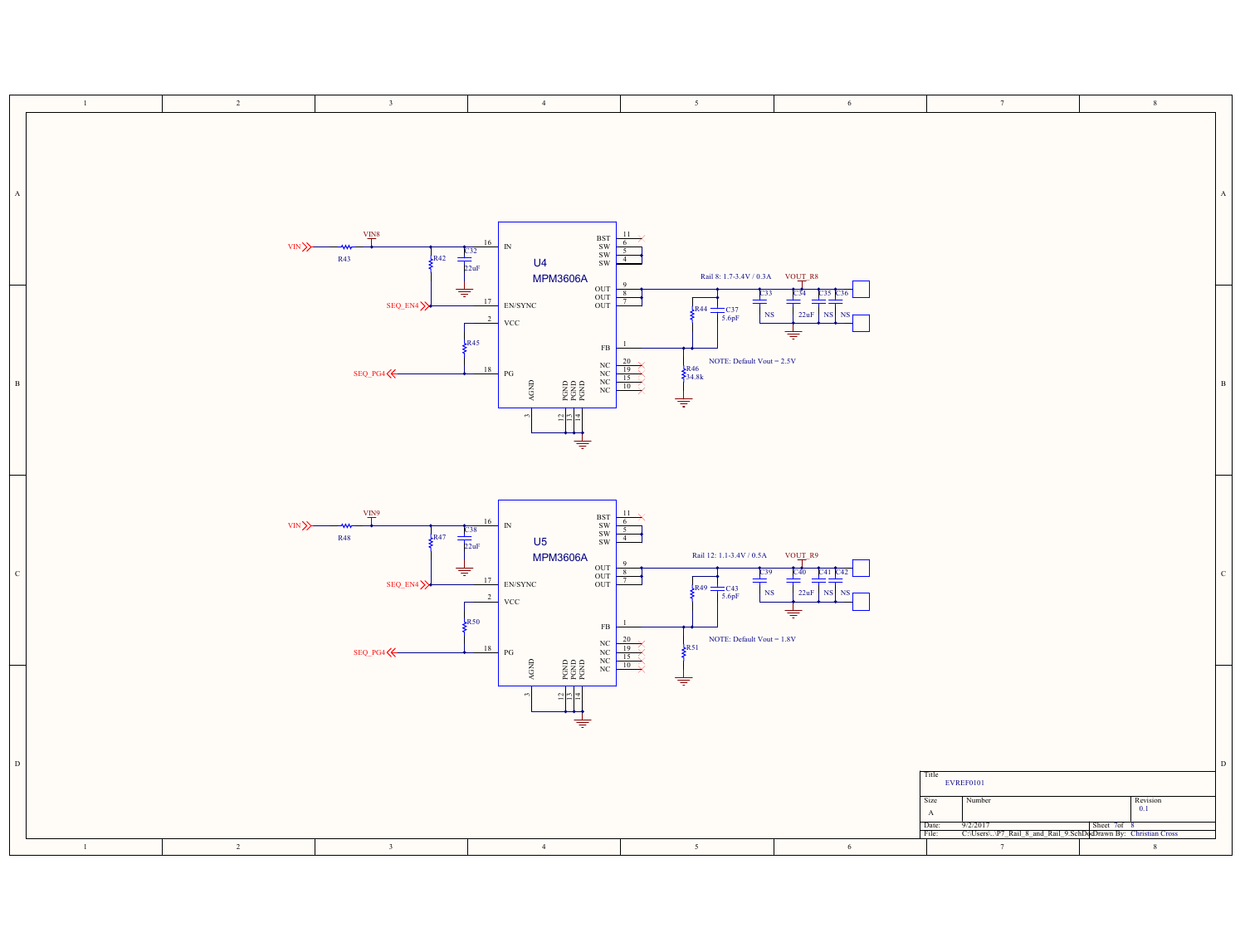